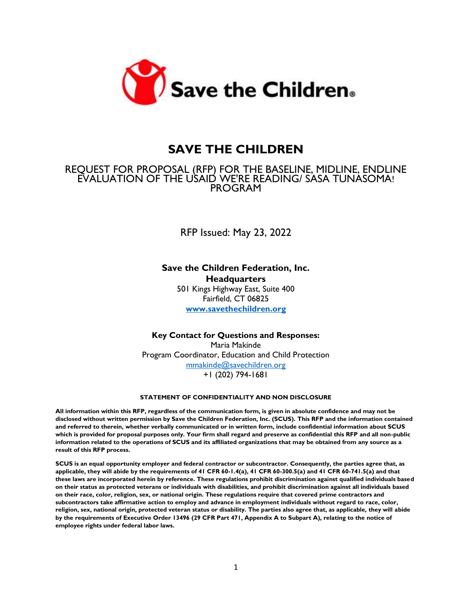

## **SAVE THE CHILDREN**

### REQUEST FOR PROPOSAL (RFP) FOR THE BASELINE, MIDLINE, ENDLINE EVALUATION OF THE USAID WE'RE READING/ SASA TUNASOMA! PROGRAM

RFP Issued: May 23, 2022

## **Save the Children Federation, Inc. Headquarters**

501 Kings Highway East, Suite 400 Fairfield, CT 06825 **[www.savethechildren.org](http://www.savethechildren.org/)**

#### **Key Contact for Questions and Responses:** Maria Makinde Program Coordinator, Education and Child Protection [mmakinde@savechildren.org](mailto:mmakinde@savechildren.org) +1 (202) 794-1681

#### **STATEMENT OF CONFIDENTIALITY AND NON DISCLOSURE**

**All information within this RFP, regardless of the communication form, is given in absolute confidence and may not be disclosed without written permission by Save the Children Federation, Inc. (SCUS). This RFP and the information contained and referred to therein, whether verbally communicated or in written form, include confidential information about SCUS which is provided for proposal purposes only. Your firm shall regard and preserve as confidential this RFP and all non-public information related to the operations of SCUS and its affiliated organizations that may be obtained from any source as a result of this RFP process.**

**SCUS is an equal opportunity employer and federal contractor or subcontractor. Consequently, the parties agree that, as applicable, they will abide by the requirements of 41 CFR 60-1.4(a), 41 CFR 60-300.5(a) and 41 CFR 60-741.5(a) and that these laws are incorporated herein by reference. These regulations prohibit discrimination against qualified individuals based on their status as protected veterans or individuals with disabilities, and prohibit discrimination against all individuals based on their race, color, religion, sex, or national origin. These regulations require that covered prime contractors and subcontractors take affirmative action to employ and advance in employment individuals without regard to race, color, religion, sex, national origin, protected veteran status or disability. The parties also agree that, as applicable, they will abide by the requirements of Executive Order 13496 (29 CFR Part 471, Appendix A to Subpart A), relating to the notice of employee rights under federal labor laws.**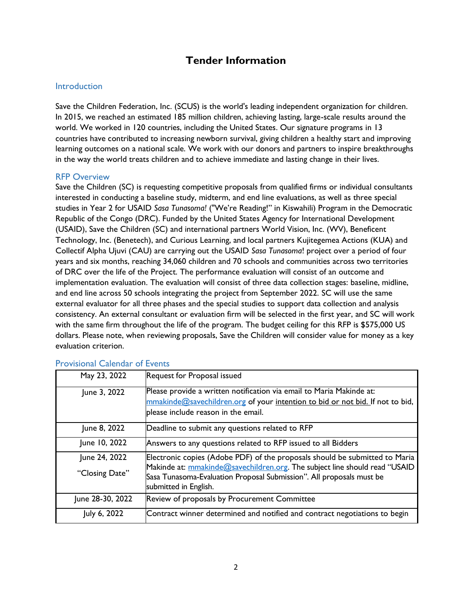## **Tender Information**

### <span id="page-1-1"></span><span id="page-1-0"></span>**Introduction**

Save the Children Federation, Inc. (SCUS) is the world's leading independent organization for children. In 2015, we reached an estimated 185 million children, achieving lasting, large-scale results around the world. We worked in 120 countries, including the United States. Our signature programs in 13 countries have contributed to increasing newborn survival, giving children a healthy start and improving learning outcomes on a national scale. We work with our donors and partners to inspire breakthroughs in the way the world treats children and to achieve immediate and lasting change in their lives.

#### <span id="page-1-2"></span>RFP Overview

Save the Children (SC) is requesting competitive proposals from qualified firms or individual consultants interested in conducting a baseline study, midterm, and end line evaluations, as well as three special studies in Year 2 for USAID *Sasa Tunasoma!* ("We're Reading!" in Kiswahili) Program in the Democratic Republic of the Congo (DRC). Funded by the United States Agency for International Development (USAID), Save the Children (SC) and international partners World Vision, Inc. (WV), Beneficent Technology, Inc. (Benetech), and Curious Learning, and local partners Kujitegemea Actions (KUA) and Collectif Alpha Ujuvi (CAU) are carrying out the USAID *Sasa Tunasoma*! project over a period of four years and six months, reaching 34,060 children and 70 schools and communities across two territories of DRC over the life of the Project. The performance evaluation will consist of an outcome and implementation evaluation. The evaluation will consist of three data collection stages: baseline, midline, and end line across 50 schools integrating the project from September 2022. SC will use the same external evaluator for all three phases and the special studies to support data collection and analysis consistency. An external consultant or evaluation firm will be selected in the first year, and SC will work with the same firm throughout the life of the program. The budget ceiling for this RFP is \$575,000 US dollars. Please note, when reviewing proposals, Save the Children will consider value for money as a key evaluation criterion.

| May 23, 2022                    | Request for Proposal issued                                                                                                                                                                                                                                |
|---------------------------------|------------------------------------------------------------------------------------------------------------------------------------------------------------------------------------------------------------------------------------------------------------|
| June 3, 2022                    | Please provide a written notification via email to Maria Makinde at:<br>mmakinde@savechildren.org of your intention to bid or not bid. If not to bid,<br>please include reason in the email.                                                               |
| June 8, 2022                    | Deadline to submit any questions related to RFP                                                                                                                                                                                                            |
| June 10, 2022                   | Answers to any questions related to RFP issued to all Bidders                                                                                                                                                                                              |
| June 24, 2022<br>"Closing Date" | Electronic copies (Adobe PDF) of the proposals should be submitted to Maria<br>Makinde at: mmakinde@savechildren.org. The subject line should read "USAID<br>Sasa Tunasoma-Evaluation Proposal Submission". All proposals must be<br>submitted in English. |
| June 28-30, 2022                | Review of proposals by Procurement Committee                                                                                                                                                                                                               |
| July 6, 2022                    | Contract winner determined and notified and contract negotiations to begin                                                                                                                                                                                 |

### <span id="page-1-3"></span>Provisional Calendar of Events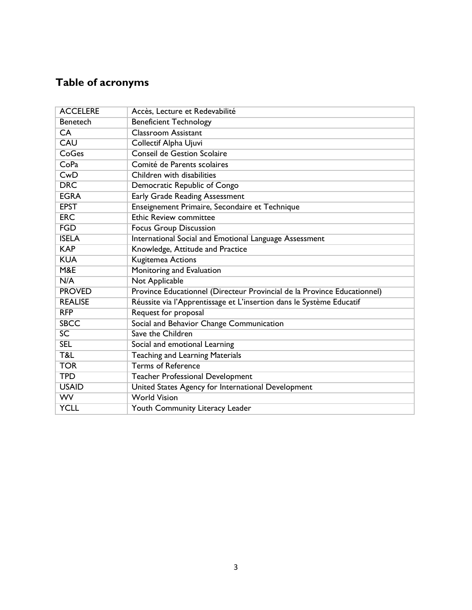# <span id="page-2-0"></span>**Table of acronyms**

| <b>ACCELERE</b> | Accès, Lecture et Redevabilité                                           |
|-----------------|--------------------------------------------------------------------------|
| <b>Benetech</b> | <b>Beneficient Technology</b>                                            |
| <b>CA</b>       | <b>Classroom Assistant</b>                                               |
| <b>CAU</b>      | Collectif Alpha Ujuvi                                                    |
| CoGes           | Conseil de Gestion Scolaire                                              |
| CoPa            | Comité de Parents scolaires                                              |
| CwD             | Children with disabilities                                               |
| <b>DRC</b>      | Democratic Republic of Congo                                             |
| <b>EGRA</b>     | Early Grade Reading Assessment                                           |
| <b>EPST</b>     | Enseignement Primaire, Secondaire et Technique                           |
| <b>ERC</b>      | <b>Ethic Review committee</b>                                            |
| <b>FGD</b>      | <b>Focus Group Discussion</b>                                            |
| <b>ISELA</b>    | International Social and Emotional Language Assessment                   |
| <b>KAP</b>      | Knowledge, Attitude and Practice                                         |
| <b>KUA</b>      | <b>Kugitemea Actions</b>                                                 |
| <b>M&amp;E</b>  | Monitoring and Evaluation                                                |
| N/A             | Not Applicable                                                           |
| <b>PROVED</b>   | Province Educationnel (Directeur Provincial de la Province Educationnel) |
| <b>REALISE</b>  | Réussite via l'Apprentissage et L'insertion dans le Système Educatif     |
| <b>RFP</b>      | Request for proposal                                                     |
| <b>SBCC</b>     | Social and Behavior Change Communication                                 |
| $\overline{SC}$ | Save the Children                                                        |
| <b>SEL</b>      | Social and emotional Learning                                            |
| T&L             | <b>Teaching and Learning Materials</b>                                   |
| <b>TOR</b>      | <b>Terms of Reference</b>                                                |
| <b>TPD</b>      | <b>Teacher Professional Development</b>                                  |
| <b>USAID</b>    | United States Agency for International Development                       |
| WV              | <b>World Vision</b>                                                      |
| <b>YCLL</b>     | Youth Community Literacy Leader                                          |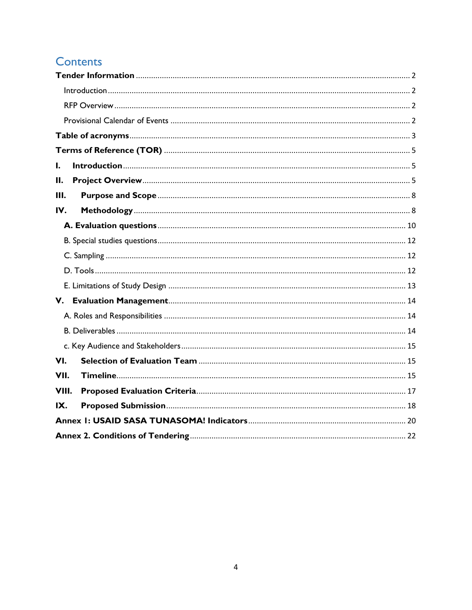# Contents

| I.    |  |
|-------|--|
| н.    |  |
| Ш.    |  |
| IV.   |  |
|       |  |
|       |  |
|       |  |
|       |  |
|       |  |
|       |  |
|       |  |
|       |  |
|       |  |
| VI.   |  |
| VII.  |  |
| VIII. |  |
| IX.   |  |
|       |  |
|       |  |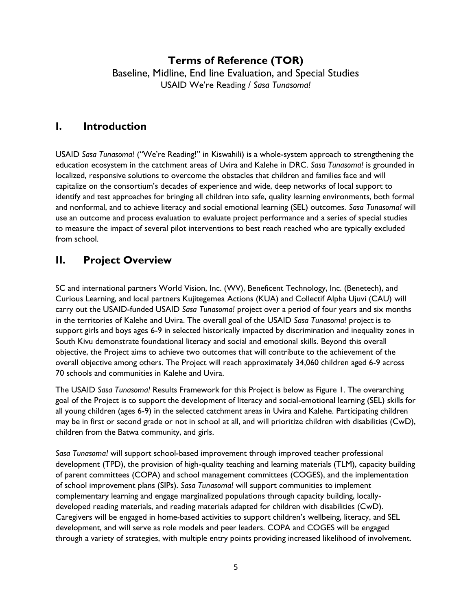## <span id="page-4-0"></span>**Terms of Reference (TOR)** Baseline, Midline, End line Evaluation, and Special Studies USAID We're Reading / *Sasa Tunasoma!*

## <span id="page-4-1"></span>**I. Introduction**

USAID *Sasa Tunasoma!* ("We're Reading!" in Kiswahili) is a whole-system approach to strengthening the education ecosystem in the catchment areas of Uvira and Kalehe in DRC. *Sasa Tunasoma!* is grounded in localized, responsive solutions to overcome the obstacles that children and families face and will capitalize on the consortium's decades of experience and wide, deep networks of local support to identify and test approaches for bringing all children into safe, quality learning environments, both formal and nonformal, and to achieve literacy and social emotional learning (SEL) outcomes. *Sasa Tunasoma!* will use an outcome and process evaluation to evaluate project performance and a series of special studies to measure the impact of several pilot interventions to best reach reached who are typically excluded from school.

## <span id="page-4-2"></span>**II. Project Overview**

SC and international partners World Vision, Inc. (WV), Beneficent Technology, Inc. (Benetech), and Curious Learning, and local partners Kujitegemea Actions (KUA) and Collectif Alpha Ujuvi (CAU) will carry out the USAID-funded USAID *Sasa Tunasoma!* project over a period of four years and six months in the territories of Kalehe and Uvira. The overall goal of the USAID *Sasa Tunasoma!* project is to support girls and boys ages 6-9 in selected historically impacted by discrimination and inequality zones in South Kivu demonstrate foundational literacy and social and emotional skills. Beyond this overall objective, the Project aims to achieve two outcomes that will contribute to the achievement of the overall objective among others. The Project will reach approximately 34,060 children aged 6-9 across 70 schools and communities in Kalehe and Uvira.

The USAID *Sasa Tunasoma!* Results Framework for this Project is below as Figure 1. The overarching goal of the Project is to support the development of literacy and social-emotional learning (SEL) skills for all young children (ages 6-9) in the selected catchment areas in Uvira and Kalehe. Participating children may be in first or second grade or not in school at all, and will prioritize children with disabilities (CwD), children from the Batwa community, and girls.

*Sasa Tunasoma!* will support school-based improvement through improved teacher professional development (TPD), the provision of high-quality teaching and learning materials (TLM), capacity building of parent committees (COPA) and school management committees (COGES), and the implementation of school improvement plans (SIPs). *Sasa Tunasoma!* will support communities to implement complementary learning and engage marginalized populations through capacity building, locallydeveloped reading materials, and reading materials adapted for children with disabilities (CwD). Caregivers will be engaged in home-based activities to support children's wellbeing, literacy, and SEL development, and will serve as role models and peer leaders. COPA and COGES will be engaged through a variety of strategies, with multiple entry points providing increased likelihood of involvement.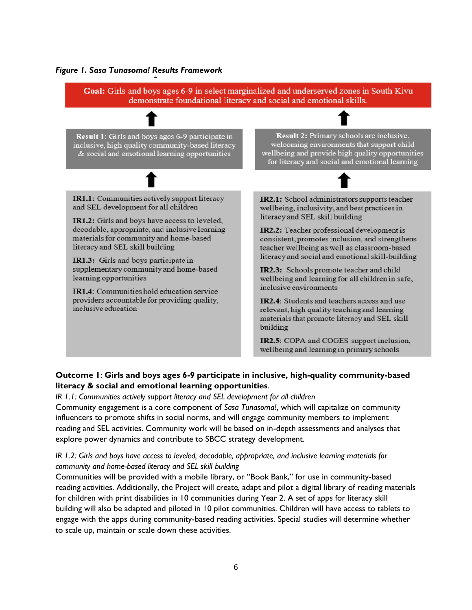#### *Figure 1. Sasa Tunasoma! Results Framework*



## **Outcome 1**: **Girls and boys ages 6-9 participate in inclusive, high-quality community-based literacy & social and emotional learning opportunities**.

#### *IR 1.1: Communities actively support literacy and SEL development for all children*

Community engagement is a core component of *Sasa Tunasoma!*, which will capitalize on community influencers to promote shifts in social norms, and will engage community members to implement reading and SEL activities. Community work will be based on in-depth assessments and analyses that explore power dynamics and contribute to SBCC strategy development.

#### *IR 1.2: Girls and boys have access to leveled, decodable, appropriate, and inclusive learning materials for community and home-based literacy and SEL skill building*

Communities will be provided with a mobile library, or "Book Bank," for use in community-based reading activities. Additionally, the Project will create, adapt and pilot a digital library of reading materials for children with print disabilities in 10 communities during Year 2. A set of apps for literacy skill building will also be adapted and piloted in 10 pilot communities. Children will have access to tablets to engage with the apps during community-based reading activities. Special studies will determine whether to scale up, maintain or scale down these activities.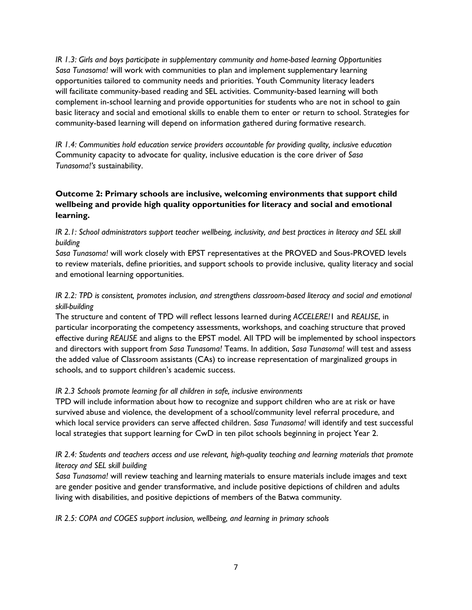*IR 1.3: Girls and boys participate in supplementary community and home-based learning Opportunities Sasa Tunasoma!* will work with communities to plan and implement supplementary learning opportunities tailored to community needs and priorities. Youth Community literacy leaders will facilitate community-based reading and SEL activities. Community-based learning will both complement in-school learning and provide opportunities for students who are not in school to gain basic literacy and social and emotional skills to enable them to enter or return to school. Strategies for community-based learning will depend on information gathered during formative research.

*IR 1.4: Communities hold education service providers accountable for providing quality, inclusive education* Community capacity to advocate for quality, inclusive education is the core driver of *Sasa Tunasoma!'s* sustainability.

## **Outcome 2: Primary schools are inclusive, welcoming environments that support child wellbeing and provide high quality opportunities for literacy and social and emotional learning.**

## *IR 2.1: School administrators support teacher wellbeing, inclusivity, and best practices in literacy and SEL skill building*

*Sasa Tunasoma!* will work closely with EPST representatives at the PROVED and Sous-PROVED levels to review materials, define priorities, and support schools to provide inclusive, quality literacy and social and emotional learning opportunities.

## *IR 2.2: TPD is consistent, promotes inclusion, and strengthens classroom-based literacy and social and emotional skill-building*

The structure and content of TPD will reflect lessons learned during *ACCELERE!*1 and *REALISE*, in particular incorporating the competency assessments, workshops, and coaching structure that proved effective during *REALISE* and aligns to the EPST model. All TPD will be implemented by school inspectors and directors with support from *Sasa Tunasoma!* Teams. In addition, *Sasa Tunasoma!* will test and assess the added value of Classroom assistants (CAs) to increase representation of marginalized groups in schools, and to support children's academic success.

### *IR 2.3 Schools promote learning for all children in safe, inclusive environments*

TPD will include information about how to recognize and support children who are at risk or have survived abuse and violence, the development of a school/community level referral procedure, and which local service providers can serve affected children. *Sasa Tunasoma!* will identify and test successful local strategies that support learning for CwD in ten pilot schools beginning in project Year 2.

### *IR 2.4: Students and teachers access and use relevant, high-quality teaching and learning materials that promote literacy and SEL skill building*

*Sasa Tunasoma!* will review teaching and learning materials to ensure materials include images and text are gender positive and gender transformative, and include positive depictions of children and adults living with disabilities, and positive depictions of members of the Batwa community.

*IR 2.5: COPA and COGES support inclusion, wellbeing, and learning in primary schools*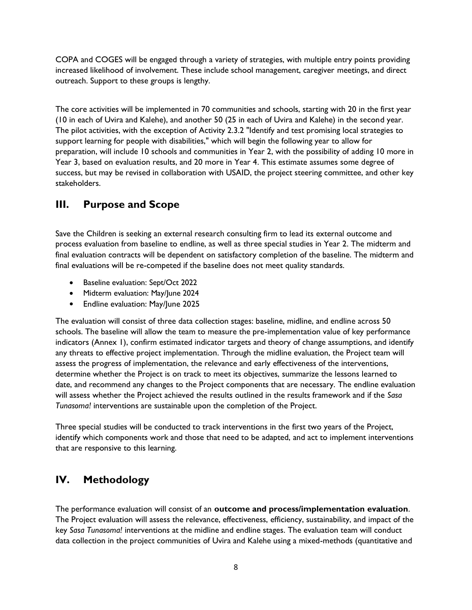COPA and COGES will be engaged through a variety of strategies, with multiple entry points providing increased likelihood of involvement. These include school management, caregiver meetings, and direct outreach. Support to these groups is lengthy.

The core activities will be implemented in 70 communities and schools, starting with 20 in the first year (10 in each of Uvira and Kalehe), and another 50 (25 in each of Uvira and Kalehe) in the second year. The pilot activities, with the exception of Activity 2.3.2 "Identify and test promising local strategies to support learning for people with disabilities," which will begin the following year to allow for preparation, will include 10 schools and communities in Year 2, with the possibility of adding 10 more in Year 3, based on evaluation results, and 20 more in Year 4. This estimate assumes some degree of success, but may be revised in collaboration with USAID, the project steering committee, and other key stakeholders.

## <span id="page-7-0"></span>**III. Purpose and Scope**

Save the Children is seeking an external research consulting firm to lead its external outcome and process evaluation from baseline to endline, as well as three special studies in Year 2. The midterm and final evaluation contracts will be dependent on satisfactory completion of the baseline. The midterm and final evaluations will be re-competed if the baseline does not meet quality standards.

- Baseline evaluation: Sept/Oct 2022
- Midterm evaluation: May/June 2024
- Endline evaluation: May/June 2025

The evaluation will consist of three data collection stages: baseline, midline, and endline across 50 schools. The baseline will allow the team to measure the pre-implementation value of key performance indicators (Annex 1), confirm estimated indicator targets and theory of change assumptions, and identify any threats to effective project implementation. Through the midline evaluation, the Project team will assess the progress of implementation, the relevance and early effectiveness of the interventions, determine whether the Project is on track to meet its objectives, summarize the lessons learned to date, and recommend any changes to the Project components that are necessary. The endline evaluation will assess whether the Project achieved the results outlined in the results framework and if the *Sasa Tunasoma!* interventions are sustainable upon the completion of the Project.

Three special studies will be conducted to track interventions in the first two years of the Project, identify which components work and those that need to be adapted, and act to implement interventions that are responsive to this learning.

## <span id="page-7-1"></span>**IV. Methodology**

The performance evaluation will consist of an **outcome and process/implementation evaluation**. The Project evaluation will assess the relevance, effectiveness, efficiency, sustainability, and impact of the key *Sasa Tunasoma!* interventions at the midline and endline stages. The evaluation team will conduct data collection in the project communities of Uvira and Kalehe using a mixed-methods (quantitative and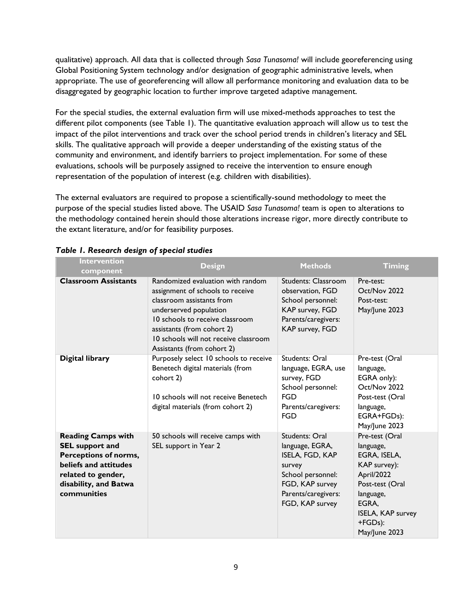qualitative) approach. All data that is collected through *Sasa Tunasoma!* will include georeferencing using Global Positioning System technology and/or designation of geographic administrative levels, when appropriate. The use of georeferencing will allow all performance monitoring and evaluation data to be disaggregated by geographic location to further improve targeted adaptive management.

For the special studies, the external evaluation firm will use mixed-methods approaches to test the different pilot components (see Table 1). The quantitative evaluation approach will allow us to test the impact of the pilot interventions and track over the school period trends in children's literacy and SEL skills. The qualitative approach will provide a deeper understanding of the existing status of the community and environment, and identify barriers to project implementation. For some of these evaluations, schools will be purposely assigned to receive the intervention to ensure enough representation of the population of interest (e.g. children with disabilities).

The external evaluators are required to propose a scientifically-sound methodology to meet the purpose of the special studies listed above. The USAID *Sasa Tunasoma!* team is open to alterations to the methodology contained herein should those alterations increase rigor, more directly contribute to the extant literature, and/or for feasibility purposes.

| Intervention<br>component                                                                                                                                                  | <b>Design</b>                                                                                                                                                                                                                                                        | <b>Methods</b>                                                                                                                                   | <b>Timing</b>                                                                                                                                                                |
|----------------------------------------------------------------------------------------------------------------------------------------------------------------------------|----------------------------------------------------------------------------------------------------------------------------------------------------------------------------------------------------------------------------------------------------------------------|--------------------------------------------------------------------------------------------------------------------------------------------------|------------------------------------------------------------------------------------------------------------------------------------------------------------------------------|
| <b>Classroom Assistants</b>                                                                                                                                                | Randomized evaluation with random<br>assignment of schools to receive<br>classroom assistants from<br>underserved population<br>10 schools to receive classroom<br>assistants (from cohort 2)<br>10 schools will not receive classroom<br>Assistants (from cohort 2) | Students: Classroom<br>observation. FGD<br>School personnel:<br>KAP survey, FGD<br>Parents/caregivers:<br>KAP survey, FGD                        | Pre-test:<br>Oct/Nov 2022<br>Post-test:<br>May/June 2023                                                                                                                     |
| Digital library                                                                                                                                                            | Purposely select 10 schools to receive<br>Benetech digital materials (from<br>cohort 2)<br>10 schools will not receive Benetech<br>digital materials (from cohort 2)                                                                                                 | Students: Oral<br>language, EGRA, use<br>survey, FGD<br>School personnel:<br><b>FGD</b><br>Parents/caregivers:<br><b>FGD</b>                     | Pre-test (Oral<br>language,<br>EGRA only):<br>Oct/Nov 2022<br>Post-test (Oral<br>language,<br>EGRA+FGDs):<br>May/June 2023                                                   |
| <b>Reading Camps with</b><br><b>SEL</b> support and<br><b>Perceptions of norms,</b><br>beliefs and attitudes<br>related to gender,<br>disability, and Batwa<br>communities | 50 schools will receive camps with<br>SEL support in Year 2                                                                                                                                                                                                          | Students: Oral<br>language, EGRA,<br>ISELA, FGD, KAP<br>survey<br>School personnel:<br>FGD, KAP survey<br>Parents/caregivers:<br>FGD, KAP survey | Pre-test (Oral<br>language,<br>EGRA, ISELA,<br>KAP survey):<br>April/2022<br>Post-test (Oral<br>language,<br>EGRA,<br><b>ISELA, KAP survey</b><br>$+FGDs$ :<br>May/June 2023 |

### *Table 1. Research design of special studies*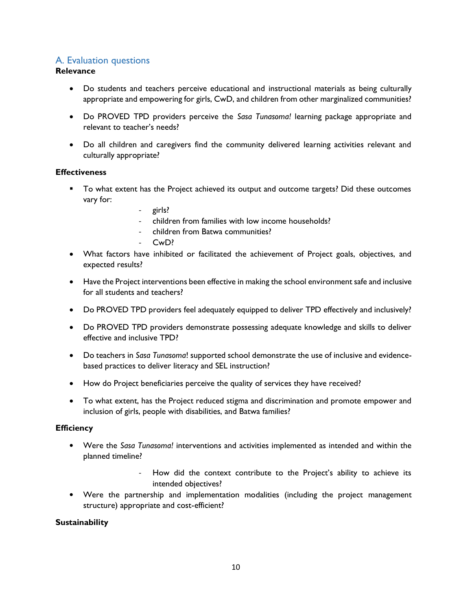## <span id="page-9-0"></span>A. Evaluation questions

## **Relevance**

- Do students and teachers perceive educational and instructional materials as being culturally appropriate and empowering for girls, CwD, and children from other marginalized communities?
- Do PROVED TPD providers perceive the *Sasa Tunasoma!* learning package appropriate and relevant to teacher's needs?
- Do all children and caregivers find the community delivered learning activities relevant and culturally appropriate?

### **Effectiveness**

- To what extent has the Project achieved its output and outcome targets? Did these outcomes vary for:
	- girls?
	- children from families with low income households?
	- children from Batwa communities?
	- CwD?
- What factors have inhibited or facilitated the achievement of Project goals, objectives, and expected results?
- Have the Project interventions been effective in making the school environment safe and inclusive for all students and teachers?
- Do PROVED TPD providers feel adequately equipped to deliver TPD effectively and inclusively?
- Do PROVED TPD providers demonstrate possessing adequate knowledge and skills to deliver effective and inclusive TPD?
- Do teachers in *Sasa Tunasoma*! supported school demonstrate the use of inclusive and evidencebased practices to deliver literacy and SEL instruction?
- How do Project beneficiaries perceive the quality of services they have received?
- To what extent, has the Project reduced stigma and discrimination and promote empower and inclusion of girls, people with disabilities, and Batwa families?

### **Efficiency**

- Were the *Sasa Tunasoma!* interventions and activities implemented as intended and within the planned timeline?
	- How did the context contribute to the Project's ability to achieve its intended objectives?
- Were the partnership and implementation modalities (including the project management structure) appropriate and cost-efficient?

#### **Sustainability**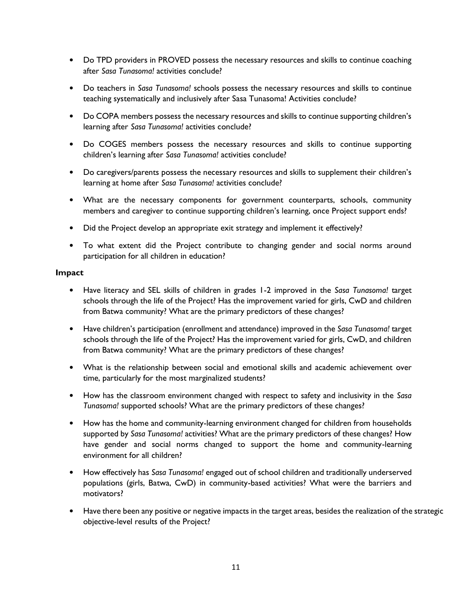- Do TPD providers in PROVED possess the necessary resources and skills to continue coaching after *Sasa Tunasoma!* activities conclude?
- Do teachers in *Sasa Tunasoma!* schools possess the necessary resources and skills to continue teaching systematically and inclusively after Sasa Tunasoma! Activities conclude?
- Do COPA members possess the necessary resources and skills to continue supporting children's learning after *Sasa Tunasoma!* activities conclude?
- Do COGES members possess the necessary resources and skills to continue supporting children's learning after *Sasa Tunasoma!* activities conclude?
- Do caregivers/parents possess the necessary resources and skills to supplement their children's learning at home after *Sasa Tunasoma!* activities conclude?
- What are the necessary components for government counterparts, schools, community members and caregiver to continue supporting children's learning, once Project support ends?
- Did the Project develop an appropriate exit strategy and implement it effectively?
- To what extent did the Project contribute to changing gender and social norms around participation for all children in education?

#### **Impact**

- Have literacy and SEL skills of children in grades 1-2 improved in the *Sasa Tunasoma!* target schools through the life of the Project? Has the improvement varied for girls, CwD and children from Batwa community? What are the primary predictors of these changes?
- Have children's participation (enrollment and attendance) improved in the *Sasa Tunasoma!* target schools through the life of the Project? Has the improvement varied for girls, CwD, and children from Batwa community? What are the primary predictors of these changes?
- What is the relationship between social and emotional skills and academic achievement over time, particularly for the most marginalized students?
- How has the classroom environment changed with respect to safety and inclusivity in the *Sasa Tunasoma!* supported schools? What are the primary predictors of these changes?
- How has the home and community-learning environment changed for children from households supported by *Sasa Tunasoma!* activities? What are the primary predictors of these changes? How have gender and social norms changed to support the home and community-learning environment for all children?
- How effectively has *Sasa Tunasoma!* engaged out of school children and traditionally underserved populations (girls, Batwa, CwD) in community-based activities? What were the barriers and motivators?
- Have there been any positive or negative impacts in the target areas, besides the realization of the strategic objective-level results of the Project?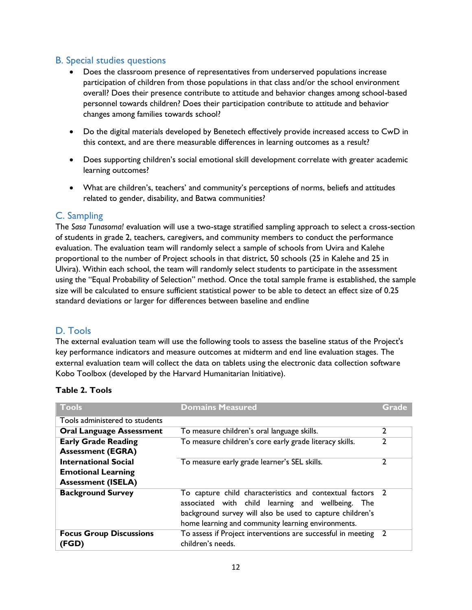## <span id="page-11-0"></span>B. Special studies questions

- Does the classroom presence of representatives from underserved populations increase participation of children from those populations in that class and/or the school environment overall? Does their presence contribute to attitude and behavior changes among school-based personnel towards children? Does their participation contribute to attitude and behavior changes among families towards school?
- Do the digital materials developed by Benetech effectively provide increased access to CwD in this context, and are there measurable differences in learning outcomes as a result?
- Does supporting children's social emotional skill development correlate with greater academic learning outcomes?
- What are children's, teachers' and community's perceptions of norms, beliefs and attitudes related to gender, disability, and Batwa communities?

## <span id="page-11-1"></span>C. Sampling

The *Sasa Tunasoma!* evaluation will use a two-stage stratified sampling approach to select a cross-section of students in grade 2, teachers, caregivers, and community members to conduct the performance evaluation. The evaluation team will randomly select a sample of schools from Uvira and Kalehe proportional to the number of Project schools in that district, 50 schools (25 in Kalehe and 25 in Ulvira). Within each school, the team will randomly select students to participate in the assessment using the "Equal Probability of Selection" method. Once the total sample frame is established, the sample size will be calculated to ensure sufficient statistical power to be able to detect an effect size of 0.25 standard deviations or larger for differences between baseline and endline

## <span id="page-11-2"></span>D. Tools

The external evaluation team will use the following tools to assess the baseline status of the Project's key performance indicators and measure outcomes at midterm and end line evaluation stages. The external evaluation team will collect the data on tablets using the electronic data collection software Kobo Toolbox (developed by the Harvard Humanitarian Initiative).

| <b>Tools</b>                            | <b>Domains Measured</b>                                                                                                                                                                                                           |                |
|-----------------------------------------|-----------------------------------------------------------------------------------------------------------------------------------------------------------------------------------------------------------------------------------|----------------|
| Tools administered to students          |                                                                                                                                                                                                                                   |                |
| <b>Oral Language Assessment</b>         | To measure children's oral language skills.                                                                                                                                                                                       | $\overline{2}$ |
| <b>Early Grade Reading</b>              | To measure children's core early grade literacy skills.                                                                                                                                                                           |                |
| <b>Assessment (EGRA)</b>                |                                                                                                                                                                                                                                   |                |
| <b>International Social</b>             | To measure early grade learner's SEL skills.                                                                                                                                                                                      |                |
| <b>Emotional Learning</b>               |                                                                                                                                                                                                                                   |                |
| <b>Assessment (ISELA)</b>               |                                                                                                                                                                                                                                   |                |
| <b>Background Survey</b>                | To capture child characteristics and contextual factors 2<br>associated with child learning and wellbeing. The<br>background survey will also be used to capture children's<br>home learning and community learning environments. |                |
| <b>Focus Group Discussions</b><br>(FGD) | To assess if Project interventions are successful in meeting 2<br>children's needs.                                                                                                                                               |                |

## **Table 2. Tools**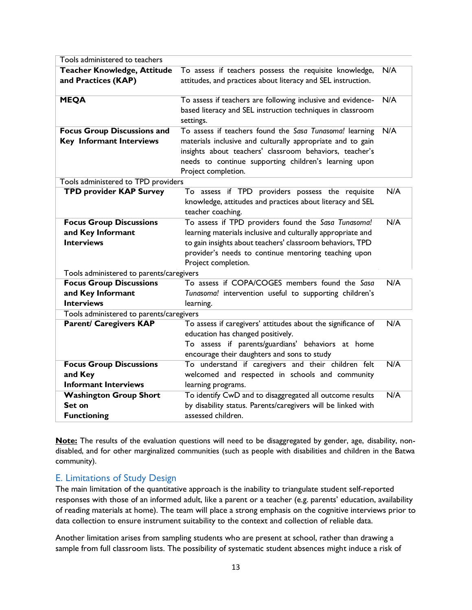| Tools administered to teachers           |                                                              |     |
|------------------------------------------|--------------------------------------------------------------|-----|
| <b>Teacher Knowledge, Attitude</b>       | To assess if teachers possess the requisite knowledge,       | N/A |
| and Practices (KAP)                      | attitudes, and practices about literacy and SEL instruction. |     |
|                                          |                                                              |     |
| <b>MEQA</b>                              | To assess if teachers are following inclusive and evidence-  | N/A |
|                                          | based literacy and SEL instruction techniques in classroom   |     |
|                                          | settings.                                                    |     |
| <b>Focus Group Discussions and</b>       | To assess if teachers found the Sasa Tunasoma! learning      | N/A |
| <b>Key Informant Interviews</b>          | materials inclusive and culturally appropriate and to gain   |     |
|                                          | insights about teachers' classroom behaviors, teacher's      |     |
|                                          | needs to continue supporting children's learning upon        |     |
|                                          | Project completion.                                          |     |
| Tools administered to TPD providers      |                                                              |     |
| <b>TPD provider KAP Survey</b>           | To assess if TPD providers possess the requisite             | N/A |
|                                          | knowledge, attitudes and practices about literacy and SEL    |     |
|                                          | teacher coaching.                                            |     |
| <b>Focus Group Discussions</b>           | To assess if TPD providers found the Sasa Tunasoma!          | N/A |
| and Key Informant                        | learning materials inclusive and culturally appropriate and  |     |
| <b>Interviews</b>                        | to gain insights about teachers' classroom behaviors, TPD    |     |
|                                          | provider's needs to continue mentoring teaching upon         |     |
|                                          | Project completion.                                          |     |
| Tools administered to parents/caregivers |                                                              |     |
| <b>Focus Group Discussions</b>           | To assess if COPA/COGES members found the Sasa               | N/A |
| and Key Informant                        | Tunasoma! intervention useful to supporting children's       |     |
| <b>Interviews</b>                        | learning.                                                    |     |
| Tools administered to parents/caregivers |                                                              |     |
| <b>Parent/ Caregivers KAP</b>            | To assess if caregivers' attitudes about the significance of | N/A |
|                                          | education has changed positively.                            |     |
|                                          | To assess if parents/guardians' behaviors at home            |     |
|                                          | encourage their daughters and sons to study                  |     |
| <b>Focus Group Discussions</b>           | To understand if caregivers and their children felt          | N/A |
| and Key                                  | welcomed and respected in schools and community              |     |
| <b>Informant Interviews</b>              | learning programs.                                           |     |
| <b>Washington Group Short</b>            | To identify CwD and to disaggregated all outcome results     | N/A |
| Set on                                   | by disability status. Parents/caregivers will be linked with |     |
| <b>Functioning</b>                       | assessed children.                                           |     |

**Note:** The results of the evaluation questions will need to be disaggregated by gender, age, disability, nondisabled, and for other marginalized communities (such as people with disabilities and children in the Batwa community).

### <span id="page-12-0"></span>E. Limitations of Study Design

The main limitation of the quantitative approach is the inability to triangulate student self-reported responses with those of an informed adult, like a parent or a teacher (e.g. parents' education, availability of reading materials at home). The team will place a strong emphasis on the cognitive interviews prior to data collection to ensure instrument suitability to the context and collection of reliable data.

Another limitation arises from sampling students who are present at school, rather than drawing a sample from full classroom lists. The possibility of systematic student absences might induce a risk of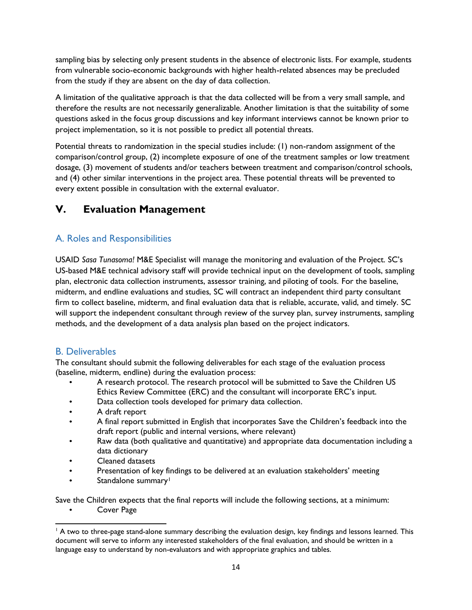sampling bias by selecting only present students in the absence of electronic lists. For example, students from vulnerable socio-economic backgrounds with higher health-related absences may be precluded from the study if they are absent on the day of data collection.

A limitation of the qualitative approach is that the data collected will be from a very small sample, and therefore the results are not necessarily generalizable. Another limitation is that the suitability of some questions asked in the focus group discussions and key informant interviews cannot be known prior to project implementation, so it is not possible to predict all potential threats.

Potential threats to randomization in the special studies include: (1) non-random assignment of the comparison/control group, (2) incomplete exposure of one of the treatment samples or low treatment dosage, (3) movement of students and/or teachers between treatment and comparison/control schools, and (4) other similar interventions in the project area. These potential threats will be prevented to every extent possible in consultation with the external evaluator.

## <span id="page-13-0"></span>**V. Evaluation Management**

## <span id="page-13-1"></span>A. Roles and Responsibilities

USAID *Sasa Tunasoma!* M&E Specialist will manage the monitoring and evaluation of the Project. SC's US-based M&E technical advisory staff will provide technical input on the development of tools, sampling plan, electronic data collection instruments, assessor training, and piloting of tools. For the baseline, midterm, and endline evaluations and studies, SC will contract an independent third party consultant firm to collect baseline, midterm, and final evaluation data that is reliable, accurate, valid, and timely. SC will support the independent consultant through review of the survey plan, survey instruments, sampling methods, and the development of a data analysis plan based on the project indicators.

## <span id="page-13-2"></span>B. Deliverables

The consultant should submit the following deliverables for each stage of the evaluation process (baseline, midterm, endline) during the evaluation process:

- A research protocol. The research protocol will be submitted to Save the Children US Ethics Review Committee (ERC) and the consultant will incorporate ERC's input.
- Data collection tools developed for primary data collection.
- A draft report
- $\bullet$ A final report submitted in English that incorporates Save the Children's feedback into the draft report (public and internal versions, where relevant)
- Raw data (both qualitative and quantitative) and appropriate data documentation including a data dictionary
- Cleaned datasets
- Presentation of key findings to be delivered at an evaluation stakeholders' meeting  $\bullet$
- Standalone summary<sup>1</sup>

Save the Children expects that the final reports will include the following sections, at a minimum: Cover Page

l  $<sup>1</sup>$  A two to three-page stand-alone summary describing the evaluation design, key findings and lessons learned. This</sup> document will serve to inform any interested stakeholders of the final evaluation, and should be written in a language easy to understand by non-evaluators and with appropriate graphics and tables.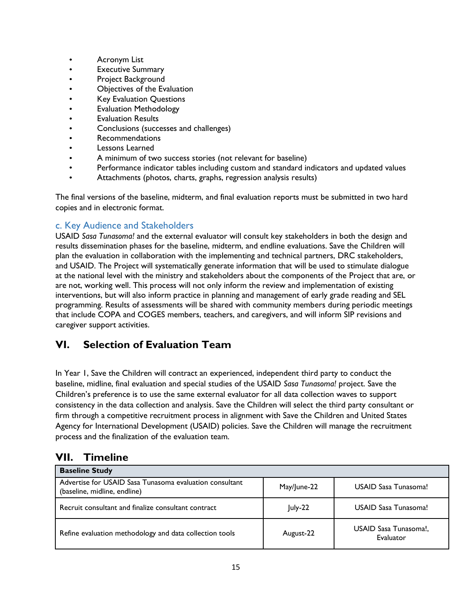- Acronym List
- Executive Summary
- $\bullet$ Project Background
- $\bullet$ Objectives of the Evaluation
- $\bullet$ Key Evaluation Questions
- $\bullet$ Evaluation Methodology
- Evaluation Results
- Conclusions (successes and challenges)
- $\bullet$ Recommendations
- $\bullet$ Lessons Learned
- A minimum of two success stories (not relevant for baseline)
- Performance indicator tables including custom and standard indicators and updated values
- Attachments (photos, charts, graphs, regression analysis results)

The final versions of the baseline, midterm, and final evaluation reports must be submitted in two hard copies and in electronic format.

## <span id="page-14-0"></span>c. Key Audience and Stakeholders

USAID *Sasa Tunasoma!* and the external evaluator will consult key stakeholders in both the design and results dissemination phases for the baseline, midterm, and endline evaluations. Save the Children will plan the evaluation in collaboration with the implementing and technical partners, DRC stakeholders, and USAID. The Project will systematically generate information that will be used to stimulate dialogue at the national level with the ministry and stakeholders about the components of the Project that are, or are not, working well. This process will not only inform the review and implementation of existing interventions, but will also inform practice in planning and management of early grade reading and SEL programming. Results of assessments will be shared with community members during periodic meetings that include COPA and COGES members, teachers, and caregivers, and will inform SIP revisions and caregiver support activities.

## <span id="page-14-1"></span>**VI. Selection of Evaluation Team**

In Year 1, Save the Children will contract an experienced, independent third party to conduct the baseline, midline, final evaluation and special studies of the USAID *Sasa Tunasoma!* project. Save the Children's preference is to use the same external evaluator for all data collection waves to support consistency in the data collection and analysis. Save the Children will select the third party consultant or firm through a competitive recruitment process in alignment with Save the Children and United States Agency for International Development (USAID) policies. Save the Children will manage the recruitment process and the finalization of the evaluation team.

## <span id="page-14-2"></span>**VII. Timeline**

| <b>Baseline Study</b>                                                                   |             |                                    |
|-----------------------------------------------------------------------------------------|-------------|------------------------------------|
| Advertise for USAID Sasa Tunasoma evaluation consultant<br>(baseline, midline, endline) | May/June-22 | USAID Sasa Tunasoma!               |
| Recruit consultant and finalize consultant contract                                     | July-22     | USAID Sasa Tunasoma!               |
| Refine evaluation methodology and data collection tools                                 | August-22   | USAID Sasa Tunasoma!,<br>Evaluator |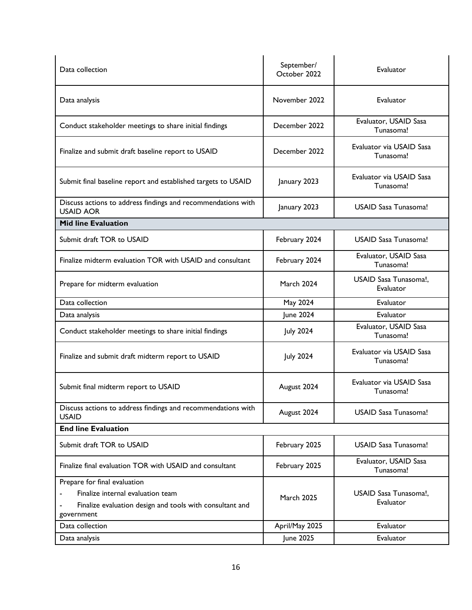| Data collection                                                                  | September/<br>October 2022 | Evaluator                             |
|----------------------------------------------------------------------------------|----------------------------|---------------------------------------|
| Data analysis                                                                    | November 2022              | Evaluator                             |
| Conduct stakeholder meetings to share initial findings                           | December 2022              | Evaluator, USAID Sasa<br>Tunasoma!    |
| Finalize and submit draft baseline report to USAID                               | December 2022              | Evaluator via USAID Sasa<br>Tunasoma! |
| Submit final baseline report and established targets to USAID                    | January 2023               | Evaluator via USAID Sasa<br>Tunasoma! |
| Discuss actions to address findings and recommendations with<br><b>USAID AOR</b> | January 2023               | <b>USAID Sasa Tunasoma!</b>           |
| <b>Mid line Evaluation</b>                                                       |                            |                                       |
| Submit draft TOR to USAID                                                        | February 2024              | <b>USAID Sasa Tunasoma!</b>           |
| Finalize midterm evaluation TOR with USAID and consultant                        | February 2024              | Evaluator, USAID Sasa<br>Tunasoma!    |
| Prepare for midterm evaluation                                                   | <b>March 2024</b>          | USAID Sasa Tunasoma!,<br>Evaluator    |
| Data collection                                                                  | May 2024                   | Evaluator                             |
| Data analysis                                                                    | June 2024                  | Evaluator                             |
| Conduct stakeholder meetings to share initial findings                           | <b>July 2024</b>           | Evaluator, USAID Sasa<br>Tunasoma!    |
| Finalize and submit draft midterm report to USAID                                | <b>July 2024</b>           | Evaluator via USAID Sasa<br>Tunasoma! |
| Submit final midterm report to USAID                                             | August 2024                | Evaluator via USAID Sasa<br>Tunasoma! |
| Discuss actions to address findings and recommendations with<br><b>USAID</b>     | August 2024                | <b>USAID Sasa Tunasoma!</b>           |
| <b>End line Evaluation</b>                                                       |                            |                                       |
| Submit draft TOR to USAID                                                        | February 2025              | <b>USAID Sasa Tunasoma!</b>           |
| Finalize final evaluation TOR with USAID and consultant                          | February 2025              | Evaluator, USAID Sasa<br>Tunasoma!    |
| Prepare for final evaluation                                                     |                            |                                       |
| Finalize internal evaluation team                                                |                            |                                       |
|                                                                                  | <b>March 2025</b>          | USAID Sasa Tunasoma!,                 |
| Finalize evaluation design and tools with consultant and<br>government           |                            | Evaluator                             |
| Data collection                                                                  | April/May 2025             | Evaluator                             |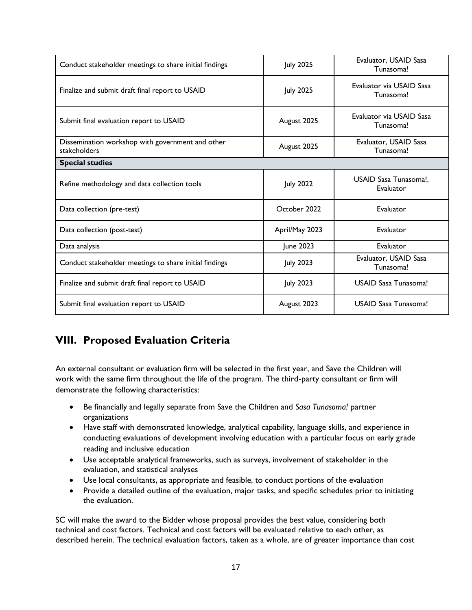| Conduct stakeholder meetings to share initial findings           | <b>July 2025</b> | Evaluator, USAID Sasa<br>Tunasoma!    |
|------------------------------------------------------------------|------------------|---------------------------------------|
| Finalize and submit draft final report to USAID                  | <b>July 2025</b> | Evaluator via USAID Sasa<br>Tunasoma! |
| Submit final evaluation report to USAID                          | August 2025      | Evaluator via USAID Sasa<br>Tunasoma! |
| Dissemination workshop with government and other<br>stakeholders | August 2025      | Evaluator, USAID Sasa<br>Tunasoma!    |
| <b>Special studies</b>                                           |                  |                                       |
| Refine methodology and data collection tools                     | <b>July 2022</b> | USAID Sasa Tunasoma!.<br>Evaluator    |
| Data collection (pre-test)                                       | October 2022     | Evaluator                             |
| Data collection (post-test)                                      | April/May 2023   | Evaluator                             |
| Data analysis                                                    | June 2023        | Evaluator                             |
| Conduct stakeholder meetings to share initial findings           | <b>July 2023</b> | Evaluator, USAID Sasa<br>Tunasoma!    |
| Finalize and submit draft final report to USAID                  | <b>July 2023</b> | <b>USAID Sasa Tunasoma!</b>           |
| Submit final evaluation report to USAID                          | August 2023      | USAID Sasa Tunasoma!                  |

## <span id="page-16-0"></span>**VIII. Proposed Evaluation Criteria**

An external consultant or evaluation firm will be selected in the first year, and Save the Children will work with the same firm throughout the life of the program. The third-party consultant or firm will demonstrate the following characteristics:

- Be financially and legally separate from Save the Children and *Sasa Tunasoma!* partner organizations
- Have staff with demonstrated knowledge, analytical capability, language skills, and experience in conducting evaluations of development involving education with a particular focus on early grade reading and inclusive education
- Use acceptable analytical frameworks, such as surveys, involvement of stakeholder in the evaluation, and statistical analyses
- Use local consultants, as appropriate and feasible, to conduct portions of the evaluation
- Provide a detailed outline of the evaluation, major tasks, and specific schedules prior to initiating the evaluation.

SC will make the award to the Bidder whose proposal provides the best value, considering both technical and cost factors. Technical and cost factors will be evaluated relative to each other, as described herein. The technical evaluation factors, taken as a whole, are of greater importance than cost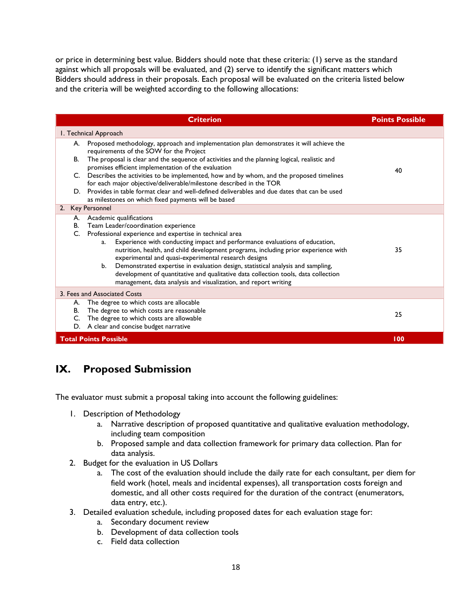or price in determining best value. Bidders should note that these criteria: (1) serve as the standard against which all proposals will be evaluated, and (2) serve to identify the significant matters which Bidders should address in their proposals. Each proposal will be evaluated on the criteria listed below and the criteria will be weighted according to the following allocations:

| <b>Criterion</b>                                                                                                                                                  | <b>Points Possible</b> |
|-------------------------------------------------------------------------------------------------------------------------------------------------------------------|------------------------|
| I. Technical Approach                                                                                                                                             |                        |
| Proposed methodology, approach and implementation plan demonstrates it will achieve the<br>А.<br>requirements of the SOW for the Project                          |                        |
| The proposal is clear and the sequence of activities and the planning logical, realistic and<br>В.<br>promises efficient implementation of the evaluation         | 40                     |
| C. Describes the activities to be implemented, how and by whom, and the proposed timelines<br>for each major objective/deliverable/milestone described in the TOR |                        |
| D. Provides in table format clear and well-defined deliverables and due dates that can be used<br>as milestones on which fixed payments will be based             |                        |
| 2. Key Personnel                                                                                                                                                  |                        |
| Academic qualifications<br>А.                                                                                                                                     |                        |
| Team Leader/coordination experience<br>В.                                                                                                                         |                        |
| C. Professional experience and expertise in technical area                                                                                                        |                        |
| Experience with conducting impact and performance evaluations of education,<br>a.                                                                                 |                        |
| nutrition, health, and child development programs, including prior experience with                                                                                | 35                     |
| experimental and quasi-experimental research designs                                                                                                              |                        |
| Demonstrated expertise in evaluation design, statistical analysis and sampling,<br>b.                                                                             |                        |
| development of quantitative and qualitative data collection tools, data collection                                                                                |                        |
| management, data analysis and visualization, and report writing                                                                                                   |                        |
| 3. Fees and Associated Costs                                                                                                                                      |                        |
| The degree to which costs are allocable<br>А.                                                                                                                     |                        |
| The degree to which costs are reasonable<br>В.                                                                                                                    | 25                     |
| The degree to which costs are allowable<br>C.                                                                                                                     |                        |
| A clear and concise budget narrative<br>D.                                                                                                                        |                        |
| <b>Total Points Possible</b>                                                                                                                                      | 100                    |

## <span id="page-17-0"></span>**IX. Proposed Submission**

The evaluator must submit a proposal taking into account the following guidelines:

- 1. Description of Methodology
	- a. Narrative description of proposed quantitative and qualitative evaluation methodology, including team composition
	- b. Proposed sample and data collection framework for primary data collection. Plan for data analysis.
- 2. Budget for the evaluation in US Dollars
	- a. The cost of the evaluation should include the daily rate for each consultant, per diem for field work (hotel, meals and incidental expenses), all transportation costs foreign and domestic, and all other costs required for the duration of the contract (enumerators, data entry, etc.).
- 3. Detailed evaluation schedule, including proposed dates for each evaluation stage for:
	- a. Secondary document review
	- b. Development of data collection tools
	- c. Field data collection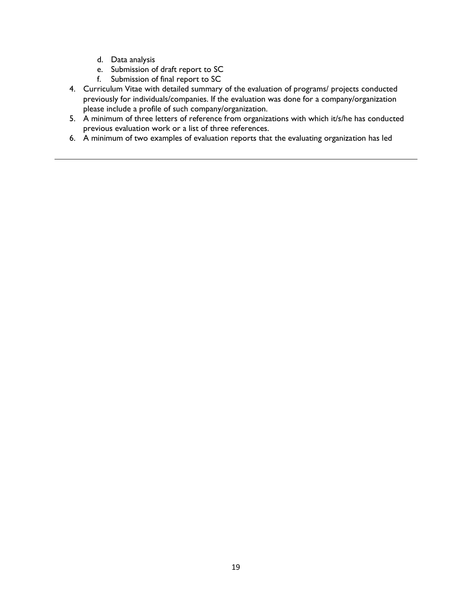- d. Data analysis
- e. Submission of draft report to SC
- f. Submission of final report to SC
- 4. Curriculum Vitae with detailed summary of the evaluation of programs/ projects conducted previously for individuals/companies. If the evaluation was done for a company/organization please include a profile of such company/organization.
- 5. A minimum of three letters of reference from organizations with which it/s/he has conducted previous evaluation work or a list of three references.
- 6. A minimum of two examples of evaluation reports that the evaluating organization has led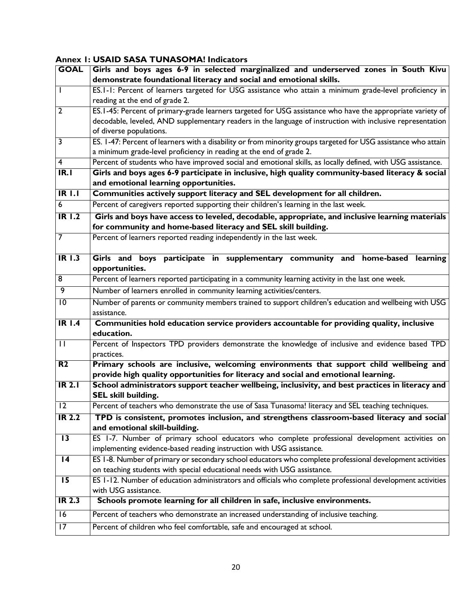## <span id="page-19-0"></span>**Annex 1: USAID SASA TUNASOMA! Indicators**

| <b>GOAL</b>             | Girls and boys ages 6-9 in selected marginalized and underserved zones in South Kivu                                                                                               |
|-------------------------|------------------------------------------------------------------------------------------------------------------------------------------------------------------------------------|
|                         | demonstrate foundational literacy and social and emotional skills.                                                                                                                 |
|                         | ES.1-1: Percent of learners targeted for USG assistance who attain a minimum grade-level proficiency in                                                                            |
|                         | reading at the end of grade 2.                                                                                                                                                     |
| $\overline{2}$          | ES.1-45: Percent of primary-grade learners targeted for USG assistance who have the appropriate variety of                                                                         |
|                         | decodable, leveled, AND supplementary readers in the language of instruction with inclusive representation                                                                         |
|                         | of diverse populations.                                                                                                                                                            |
| 3                       | ES. 1-47: Percent of learners with a disability or from minority groups targeted for USG assistance who attain                                                                     |
| 4                       | a minimum grade-level proficiency in reading at the end of grade 2.<br>Percent of students who have improved social and emotional skills, as locally defined, with USG assistance. |
| IR.1                    | Girls and boys ages 6-9 participate in inclusive, high quality community-based literacy & social                                                                                   |
|                         | and emotional learning opportunities.                                                                                                                                              |
| $IR$ $I.I$              | Communities actively support literacy and SEL development for all children.                                                                                                        |
| 6                       | Percent of caregivers reported supporting their children's learning in the last week.                                                                                              |
| $IR$ $I.2$              | Girls and boys have access to leveled, decodable, appropriate, and inclusive learning materials                                                                                    |
|                         | for community and home-based literacy and SEL skill building.                                                                                                                      |
| $\overline{7}$          | Percent of learners reported reading independently in the last week.                                                                                                               |
|                         |                                                                                                                                                                                    |
| <b>IR 1.3</b>           | Girls and boys participate in supplementary community and home-based learning                                                                                                      |
|                         | opportunities.                                                                                                                                                                     |
| 8                       | Percent of learners reported participating in a community learning activity in the last one week.                                                                                  |
| 9                       | Number of learners enrolled in community learning activities/centers.                                                                                                              |
| $\overline{10}$         | Number of parents or community members trained to support children's education and wellbeing with USG                                                                              |
|                         | assistance.                                                                                                                                                                        |
| $IR$ $I.4$              | Communities hold education service providers accountable for providing quality, inclusive<br>education.                                                                            |
| $\overline{\mathbf{1}}$ | Percent of Inspectors TPD providers demonstrate the knowledge of inclusive and evidence based TPD                                                                                  |
|                         | practices.                                                                                                                                                                         |
| R <sub>2</sub>          | Primary schools are inclusive, welcoming environments that support child wellbeing and                                                                                             |
|                         | provide high quality opportunities for literacy and social and emotional learning.                                                                                                 |
| IR <sub>2.1</sub>       | School administrators support teacher wellbeing, inclusivity, and best practices in literacy and                                                                                   |
|                         | <b>SEL skill building.</b>                                                                                                                                                         |
| $\overline{12}$         | Percent of teachers who demonstrate the use of Sasa Tunasoma! literacy and SEL teaching techniques.                                                                                |
| <b>IR 2.2</b>           | TPD is consistent, promotes inclusion, and strengthens classroom-based literacy and social                                                                                         |
|                         | and emotional skill-building.                                                                                                                                                      |
| $\overline{13}$         | ES 1-7. Number of primary school educators who complete professional development activities on                                                                                     |
|                         | implementing evidence-based reading instruction with USG assistance.                                                                                                               |
| $\overline{14}$         | ES 1-8. Number of primary or secondary school educators who complete professional development activities                                                                           |
| $\overline{15}$         | on teaching students with special educational needs with USG assistance.                                                                                                           |
|                         | ES 1-12. Number of education administrators and officials who complete professional development activities<br>with USG assistance.                                                 |
| <b>IR 2.3</b>           | Schools promote learning for all children in safe, inclusive environments.                                                                                                         |
| $\overline{16}$         | Percent of teachers who demonstrate an increased understanding of inclusive teaching.                                                                                              |
| $\overline{17}$         | Percent of children who feel comfortable, safe and encouraged at school.                                                                                                           |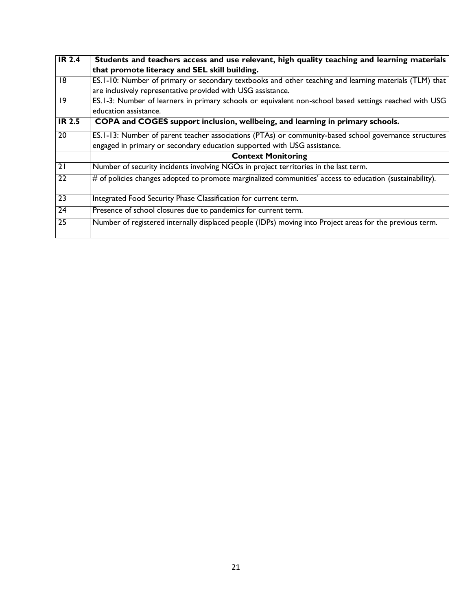| <b>IR 2.4</b>   | Students and teachers access and use relevant, high quality teaching and learning materials              |
|-----------------|----------------------------------------------------------------------------------------------------------|
|                 | that promote literacy and SEL skill building.                                                            |
| 8               | ES.1-10: Number of primary or secondary textbooks and other teaching and learning materials (TLM) that   |
|                 | are inclusively representative provided with USG assistance.                                             |
| $\overline{19}$ | ES.1-3: Number of learners in primary schools or equivalent non-school based settings reached with USG   |
|                 | education assistance.                                                                                    |
| <b>IR 2.5</b>   | COPA and COGES support inclusion, wellbeing, and learning in primary schools.                            |
| $\overline{20}$ | ES.1-13: Number of parent teacher associations (PTAs) or community-based school governance structures    |
|                 | engaged in primary or secondary education supported with USG assistance.                                 |
|                 | <b>Context Monitoring</b>                                                                                |
| $\overline{21}$ | Number of security incidents involving NGOs in project territories in the last term.                     |
| $\overline{22}$ | # of policies changes adopted to promote marginalized communities' access to education (sustainability). |
| $\overline{23}$ | Integrated Food Security Phase Classification for current term.                                          |
| $\overline{24}$ | Presence of school closures due to pandemics for current term.                                           |
| $\overline{25}$ | Number of registered internally displaced people (IDPs) moving into Project areas for the previous term. |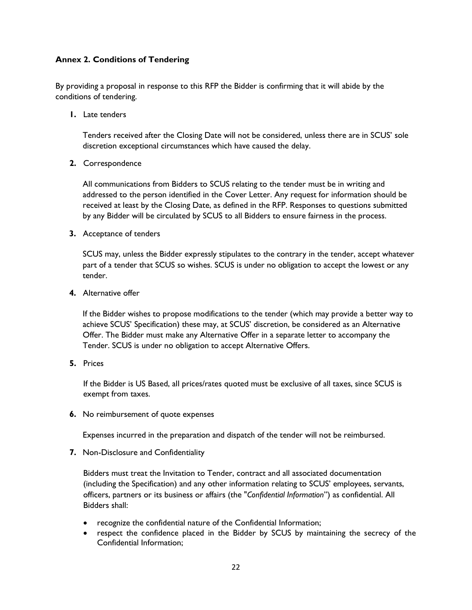## <span id="page-21-0"></span>**Annex 2. Conditions of Tendering**

By providing a proposal in response to this RFP the Bidder is confirming that it will abide by the conditions of tendering.

**1.** Late tenders

Tenders received after the Closing Date will not be considered, unless there are in SCUS' sole discretion exceptional circumstances which have caused the delay.

**2.** Correspondence

All communications from Bidders to SCUS relating to the tender must be in writing and addressed to the person identified in the Cover Letter. Any request for information should be received at least by the Closing Date, as defined in the RFP. Responses to questions submitted by any Bidder will be circulated by SCUS to all Bidders to ensure fairness in the process.

**3.** Acceptance of tenders

SCUS may, unless the Bidder expressly stipulates to the contrary in the tender, accept whatever part of a tender that SCUS so wishes. SCUS is under no obligation to accept the lowest or any tender.

**4.** Alternative offer

If the Bidder wishes to propose modifications to the tender (which may provide a better way to achieve SCUS' Specification) these may, at SCUS' discretion, be considered as an Alternative Offer. The Bidder must make any Alternative Offer in a separate letter to accompany the Tender. SCUS is under no obligation to accept Alternative Offers.

**5.** Prices

If the Bidder is US Based, all prices/rates quoted must be exclusive of all taxes, since SCUS is exempt from taxes.

**6.** No reimbursement of quote expenses

Expenses incurred in the preparation and dispatch of the tender will not be reimbursed.

**7.** Non-Disclosure and Confidentiality

Bidders must treat the Invitation to Tender, contract and all associated documentation (including the Specification) and any other information relating to SCUS' employees, servants, officers, partners or its business or affairs (the "*Confidential Information*") as confidential. All Bidders shall:

- recognize the confidential nature of the Confidential Information;
- respect the confidence placed in the Bidder by SCUS by maintaining the secrecy of the Confidential Information;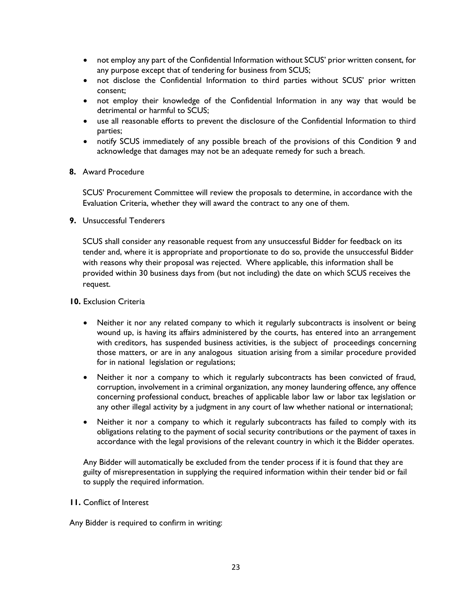- not employ any part of the Confidential Information without SCUS' prior written consent, for any purpose except that of tendering for business from SCUS;
- not disclose the Confidential Information to third parties without SCUS' prior written consent;
- not employ their knowledge of the Confidential Information in any way that would be detrimental or harmful to SCUS;
- use all reasonable efforts to prevent the disclosure of the Confidential Information to third parties;
- notify SCUS immediately of any possible breach of the provisions of this Condition 9 and acknowledge that damages may not be an adequate remedy for such a breach.
- **8.** Award Procedure

SCUS' Procurement Committee will review the proposals to determine, in accordance with the Evaluation Criteria, whether they will award the contract to any one of them.

**9.** Unsuccessful Tenderers

SCUS shall consider any reasonable request from any unsuccessful Bidder for feedback on its tender and, where it is appropriate and proportionate to do so, provide the unsuccessful Bidder with reasons why their proposal was rejected. Where applicable, this information shall be provided within 30 business days from (but not including) the date on which SCUS receives the request.

- **10.** Exclusion Criteria
	- Neither it nor any related company to which it regularly subcontracts is insolvent or being wound up, is having its affairs administered by the courts, has entered into an arrangement with creditors, has suspended business activities, is the subject of proceedings concerning those matters, or are in any analogous situation arising from a similar procedure provided for in national legislation or regulations;
	- Neither it nor a company to which it regularly subcontracts has been convicted of fraud, corruption, involvement in a criminal organization, any money laundering offence, any offence concerning professional conduct, breaches of applicable labor law or labor tax legislation or any other illegal activity by a judgment in any court of law whether national or international;
	- Neither it nor a company to which it regularly subcontracts has failed to comply with its obligations relating to the payment of social security contributions or the payment of taxes in accordance with the legal provisions of the relevant country in which it the Bidder operates.

Any Bidder will automatically be excluded from the tender process if it is found that they are guilty of misrepresentation in supplying the required information within their tender bid or fail to supply the required information.

**11.** Conflict of Interest

Any Bidder is required to confirm in writing: